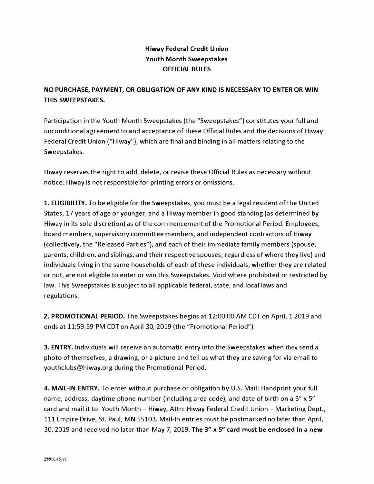## **Hiway Federal Credit Union Youth Month Sweepstakes OFFICIAL RULES**

## **NO PURCHASE, PAYMENT, OR OBLIGATION OF ANY KIND IS NECESSARY TO ENTER OR WIN THIS SWEEPSTAKES.**

Participation in the Youth Month Sweepstakes (the "Sweepstakes") constitutes your full and unconditional agreement to and acceptance of these Official Rules and the decisions of Hiway Federal Credit Union ("Hiway"), which are final and binding in all matters relating to the Sweepstakes.

Hiway reserves the right to add, delete, or revise these Official Rules as necessary without notice. Hiway is not responsible for printing errors or omissions.

1. **ELIGIBILITY.** To be eligible for the Sweepstakes, you must be a legal resident of the United States, 17 years of age or younger, and a Hiway member in good standing (as determined by Hiway in its sole discretion) as of the commencement of the Promotional Period. Employees, board members, supervisory committee members, and independent contractors of Hiway (collectively, the "Released Parties"), and each of their immediate family members (spouse, parents, children, and siblings, and their respective spouses, regardless of where they live) and individuals living in the same households of each of these individuals, whether they are related or not, are not eligible to enter or win this Sweepstakes. Void where prohibited or restricted by law. This Sweepstakes is subject to all applicable federal, state, and local laws and regulations.

**2. PROMOTIONAL PERIOD.** The Sweepstakes begins at 12:00:00 AM CDT on April, 1 2019 and ends at 11:59:59 PM CDT on April 30, 2019 (the "Promotional Period").

**3. ENTRY.** Individuals will receive an automatic entry into the Sweepstakes when they send a photo of themselves, a drawing, or a picture and tell us what they are saving for via email to [youthclubs@hiway.org](mailto:youthclubs@hiway.org) during the Promotional Period.

**4. MAIL-IN ENTRY.** To enter without purchase or obligation by U.S. Mail: Handprint your full name, address, daytime phone number (including area code), and date of birth on a 3" x 5" card and mail it to: Youth Month - Hiway, Attn: Hiway Federal Credit Union - Marketing Dept., 111 Empire Drive, St. Paul, MN 55103. Mail-In entries must be postmarked no later than April, 30, 2019 and received no later than May 7, 2019. **The 3" x 5" card must be enclosed in a new**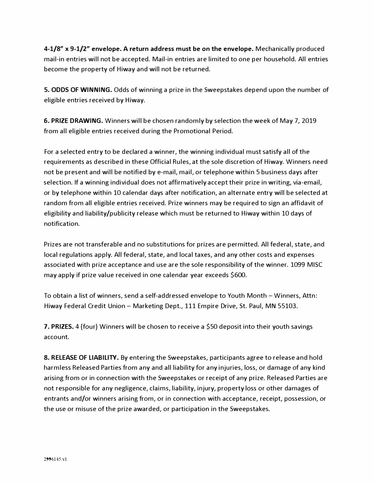**4-1/8"** x **9-1/2" envelope. A return address must be on the envelope.** Mechanically produced mail-in entries will not be accepted. Mail-in entries are limited to one per household. All entries become the property of Hiway and will not be returned.

**5. ODDS OF WINNING.** Odds of winning a prize in the Sweepstakes depend upon the number of eligible entries received by Hiway.

**6. PRIZE DRAWING.** Winners will be chosen randomly by selection the week of May 7, 2019 from all eligible entries received during the Promotional Period.

For a selected entry to be declared a winner, the winning individual must satisfy all of the requirements as described in these Official Rules, at the sole discretion of Hiway. Winners need not be present and will be notified by e-mail, mail, or telephone within 5 business days after selection. If a winning individual does not affirmatively accept their prize in writing, via-email, or by telephone within 10 calendar days after notification, an alternate entry will be selected at random from all eligible entries received. Prize winners may be required to sign an affidavit of eligibility and liability/publicity release which must be returned to Hiway within 10 days of notification.

Prizes are not transferable and no substitutions for prizes are permitted. All federal, state, and local regulations apply. All federal, state, and local taxes, and any other costs and expenses associated with prize acceptance and use are the sole responsibility of the winner. 1099 MISC may apply if prize value received in one calendar year exceeds \$600.

To obtain a list of winners, send a self-addressed envelope to Youth Month - Winners, Attn: Hiway Federal Credit Union - Marketing Dept., 111 Empire Drive, St. Paul, MN 55103.

**7. PRIZES.** 4 (four) Winners will be chosen to receive a \$50 deposit into their youth savings account.

**8. RELEASE OF LIABILITY.** By entering the Sweepstakes, participants agree to release and hold harmless Released Parties from any and all liability for any injuries, loss, or damage of any kind arising from or in connection with the Sweepstakes or receipt of any prize. Released Parties are not responsible for any negligence, claims, liability, injury, property loss or other damages of entrants and/or winners arising from, or in connection with acceptance, receipt, possession, or the use or misuse of the prize awarded, or participation in the Sweepstakes.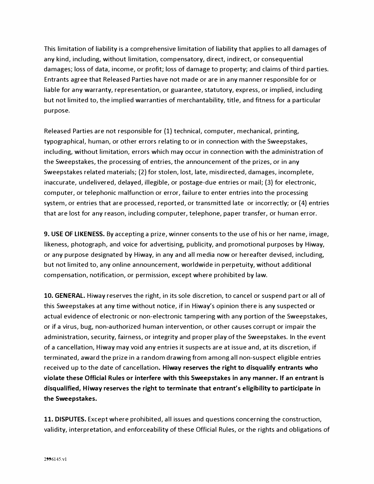This limitation of liability is a comprehensive limitation of liability that applies to all damages of any kind, including, without limitation, compensatory, direct, indirect, or consequential damages; loss of data, income, or profit; loss of damage to property; and claims of third parties. Entrants agree that Released Parties have not made or are in any manner responsible for or liable for any warranty, representation, or guarantee, statutory, express, or implied, including but not limited to, the implied warranties of merchantability, title, and fitness for a particular purpose.

Released Parties are not responsible for (1) technical, computer, mechanical, printing, typographical, human, or other errors relating to or in connection with the Sweepstakes, including, without limitation, errors which may occur in connection with the administration of the Sweepstakes, the processing of entries, the announcement of the prizes, or in any Sweepstakes related materials; (2) for stolen, lost, late, misdirected, damages, incomplete, inaccurate, undelivered, delayed, illegible, or postage-due entries or mail; (3) for electronic, computer, or telephonic malfunction or error, failure to enter entries into the processing system, or entries that are processed, reported, or transmitted late or incorrectly; or (4) entries that are lost for any reason, including computer, telephone, paper transfer, or human error.

**9. USE OF LIKENESS.** By accepting a prize, winner consents to the use of his or her name, image, likeness, photograph, and voice for advertising, publicity, and promotional purposes by Hiway, or any purpose designated by Hiway, in any and all media now or hereafter devised, including, but not limited to, any online announcement, worldwide in perpetuity, without additional compensation, notification, or permission, except where prohibited by law.

**10. GENERAL.** Hiway reserves the right, in its sole discretion, to cancel or suspend part or all of this Sweepstakes at any time without notice, if in Hiway's opinion there is any suspected or actual evidence of electronic or non-electronic tampering with any portion of the Sweepstakes, or if a virus, bug, non-authorized human intervention, or other causes corrupt or impair the administration, security, fairness, or integrity and proper play of the Sweepstakes. In the event of a cancellation, Hiway may void any entries it suspects are at issue and, at its discretion, if terminated, award the prize in a random drawing from among all non-suspect eligible entries received up to the date of cancellation. **Hiway reserves the right to disqualify entrants who violate these Official Rules or interfere with this Sweepstakes in any manner. If an entrant is disqualified, Hiway reserves the right to terminate that entrant's eligibility to participate in the Sweepstakes.** 

**11. DISPUTES.** Except where prohibited, all issues and questions concerning the construction, validity, interpretation, and enforceability of these Official Rules, or the rights and obligations of